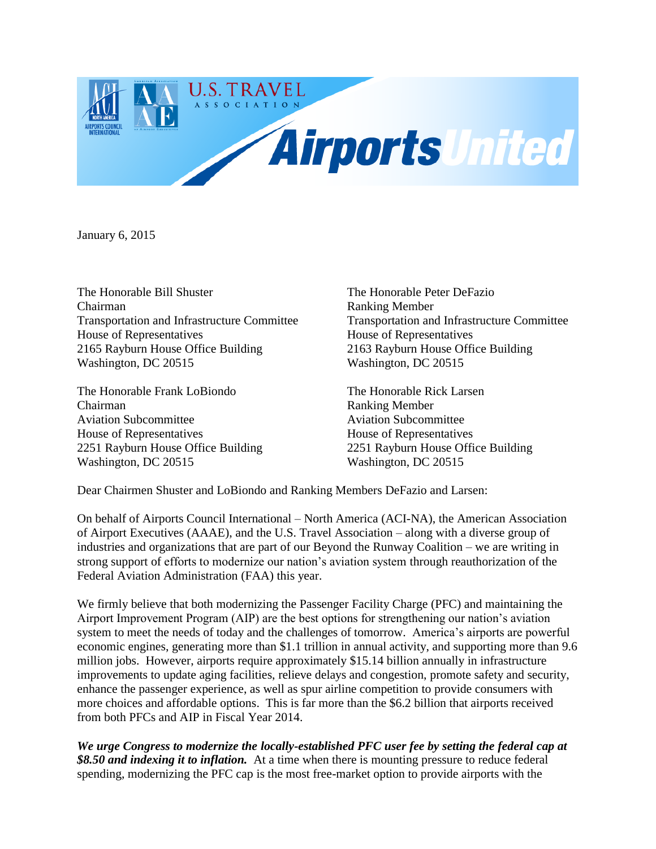

January 6, 2015

The Honorable Bill Shuster The Honorable Peter DeFazio Chairman Ranking Member Transportation and Infrastructure Committee Transportation and Infrastructure Committee House of Representatives House of Representatives 2165 Rayburn House Office Building 2163 Rayburn House Office Building Washington, DC 20515 Washington, DC 20515

The Honorable Frank LoBiondo The Honorable Rick Larsen Chairman Ranking Member Aviation Subcommittee Aviation Subcommittee House of Representatives House of Representatives 2251 Rayburn House Office Building 2251 Rayburn House Office Building Washington, DC 20515 Washington, DC 20515

Dear Chairmen Shuster and LoBiondo and Ranking Members DeFazio and Larsen:

On behalf of Airports Council International – North America (ACI-NA), the American Association of Airport Executives (AAAE), and the U.S. Travel Association – along with a diverse group of industries and organizations that are part of our Beyond the Runway Coalition – we are writing in strong support of efforts to modernize our nation's aviation system through reauthorization of the Federal Aviation Administration (FAA) this year.

We firmly believe that both modernizing the Passenger Facility Charge (PFC) and maintaining the Airport Improvement Program (AIP) are the best options for strengthening our nation's aviation system to meet the needs of today and the challenges of tomorrow. America's airports are powerful economic engines, generating more than \$1.1 trillion in annual activity, and supporting more than 9.6 million jobs. However, airports require approximately \$15.14 billion annually in infrastructure improvements to update aging facilities, relieve delays and congestion, promote safety and security, enhance the passenger experience, as well as spur airline competition to provide consumers with more choices and affordable options. This is far more than the \$6.2 billion that airports received from both PFCs and AIP in Fiscal Year 2014.

*We urge Congress to modernize the locally-established PFC user fee by setting the federal cap at \$8.50 and indexing it to inflation.* At a time when there is mounting pressure to reduce federal spending, modernizing the PFC cap is the most free-market option to provide airports with the